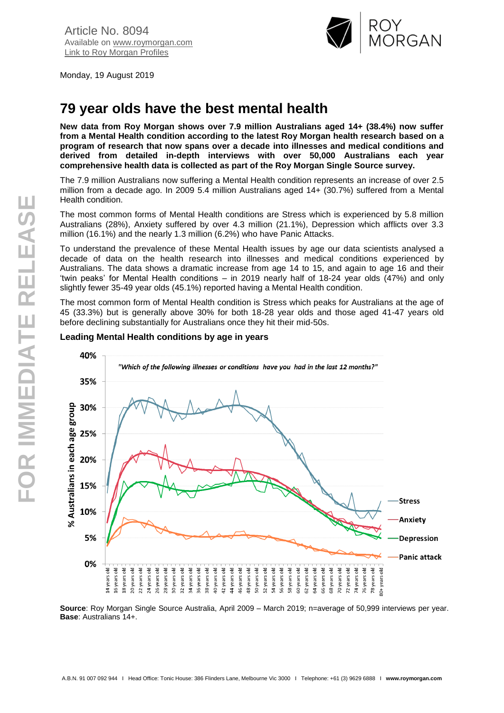

Monday, 19 August 2019

# **79 year olds have the best mental health**

**New data from Roy Morgan shows over 7.9 million Australians aged 14+ (38.4%) now suffer from a Mental Health condition according to the latest Roy Morgan health research based on a program of research that now spans over a decade into illnesses and medical conditions and derived from detailed in-depth interviews with over 50,000 Australians each year comprehensive health data is collected as part of the Roy Morgan Single Source survey.**

The 7.9 million Australians now suffering a Mental Health condition represents an increase of over 2.5 million from a decade ago. In 2009 5.4 million Australians aged 14+ (30.7%) suffered from a Mental Health condition.

The most common forms of Mental Health conditions are Stress which is experienced by 5.8 million Australians (28%), Anxiety suffered by over 4.3 million (21.1%), Depression which afflicts over 3.3 million (16.1%) and the nearly 1.3 million (6.2%) who have Panic Attacks.

To understand the prevalence of these Mental Health issues by age our data scientists analysed a decade of data on the health research into illnesses and medical conditions experienced by Australians. The data shows a dramatic increase from age 14 to 15, and again to age 16 and their 'twin peaks' for Mental Health conditions – in 2019 nearly half of 18-24 year olds (47%) and only slightly fewer 35-49 year olds (45.1%) reported having a Mental Health condition.

The most common form of Mental Health condition is Stress which peaks for Australians at the age of 45 (33.3%) but is generally above 30% for both 18-28 year olds and those aged 41-47 years old before declining substantially for Australians once they hit their mid-50s.



# **Leading Mental Health conditions by age in years**

**Source**: Roy Morgan Single Source Australia, April 2009 – March 2019; n=average of 50,999 interviews per year. **Base**: Australians 14+.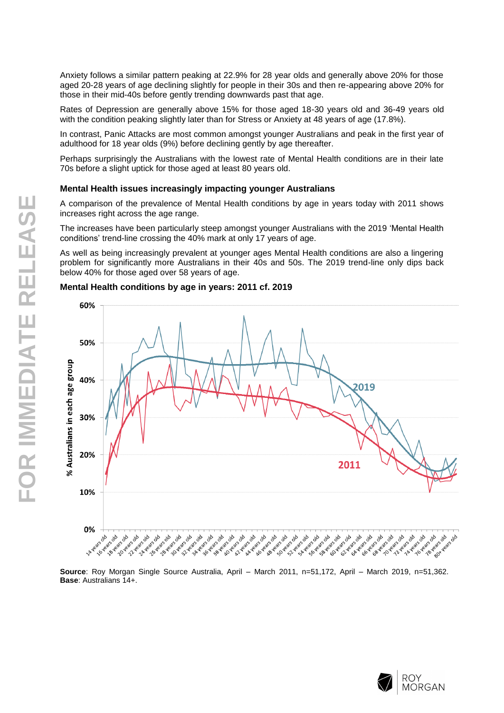Anxiety follows a similar pattern peaking at 22.9% for 28 year olds and generally above 20% for those aged 20-28 years of age declining slightly for people in their 30s and then re-appearing above 20% for those in their mid-40s before gently trending downwards past that age.

Rates of Depression are generally above 15% for those aged 18-30 years old and 36-49 years old with the condition peaking slightly later than for Stress or Anxiety at 48 years of age (17.8%).

In contrast, Panic Attacks are most common amongst younger Australians and peak in the first year of adulthood for 18 year olds (9%) before declining gently by age thereafter.

Perhaps surprisingly the Australians with the lowest rate of Mental Health conditions are in their late 70s before a slight uptick for those aged at least 80 years old.

#### **Mental Health issues increasingly impacting younger Australians**

A comparison of the prevalence of Mental Health conditions by age in years today with 2011 shows increases right across the age range.

The increases have been particularly steep amongst younger Australians with the 2019 'Mental Health conditions' trend-line crossing the 40% mark at only 17 years of age.

As well as being increasingly prevalent at younger ages Mental Health conditions are also a lingering problem for significantly more Australians in their 40s and 50s. The 2019 trend-line only dips back below 40% for those aged over 58 years of age.

# **Mental Health conditions by age in years: 2011 cf. 2019**



**Base**: Australians 14+.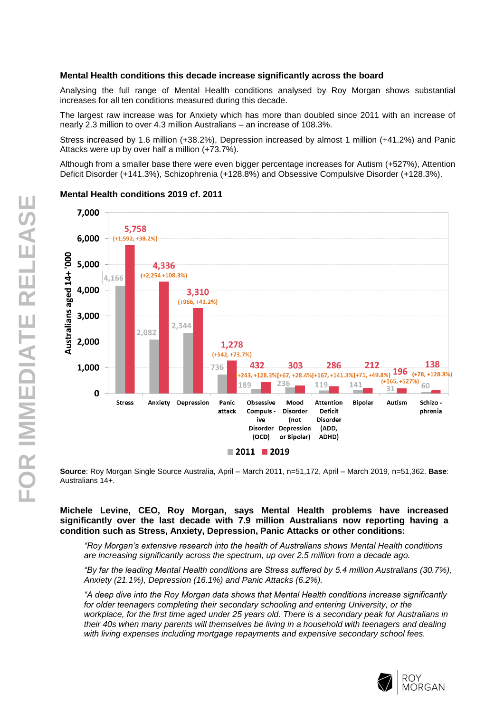### **Mental Health conditions this decade increase significantly across the board**

Analysing the full range of Mental Health conditions analysed by Roy Morgan shows substantial increases for all ten conditions measured during this decade.

The largest raw increase was for Anxiety which has more than doubled since 2011 with an increase of nearly 2.3 million to over 4.3 million Australians – an increase of 108.3%.

Stress increased by 1.6 million (+38.2%), Depression increased by almost 1 million (+41.2%) and Panic Attacks were up by over half a million (+73.7%).

Although from a smaller base there were even bigger percentage increases for Autism (+527%), Attention Deficit Disorder (+141.3%), Schizophrenia (+128.8%) and Obsessive Compulsive Disorder (+128.3%).



#### **Mental Health conditions 2019 cf. 2011**

**Source**: Roy Morgan Single Source Australia, April – March 2011, n=51,172, April – March 2019, n=51,362. **Base**: Australians 14+.

### **Michele Levine, CEO, Roy Morgan, says Mental Health problems have increased significantly over the last decade with 7.9 million Australians now reporting having a condition such as Stress, Anxiety, Depression, Panic Attacks or other conditions:**

*"Roy Morgan's extensive research into the health of Australians shows Mental Health conditions are increasing significantly across the spectrum, up over 2.5 million from a decade ago.*

*"By far the leading Mental Health conditions are Stress suffered by 5.4 million Australians (30.7%), Anxiety (21.1%), Depression (16.1%) and Panic Attacks (6.2%).*

*"A deep dive into the Roy Morgan data shows that Mental Health conditions increase significantly for older teenagers completing their secondary schooling and entering University, or the workplace, for the first time aged under 25 years old. There is a secondary peak for Australians in their 40s when many parents will themselves be living in a household with teenagers and dealing with living expenses including mortgage repayments and expensive secondary school fees.*



ROY **MORGAN**